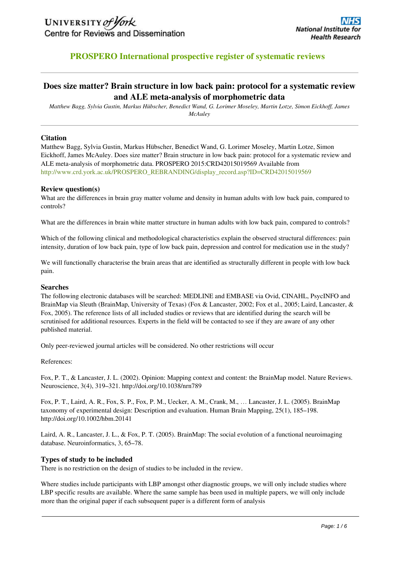

## **PROSPERO International prospective register of systematic reviews**

## **Does size matter? Brain structure in low back pain: protocol for a systematic review and ALE meta-analysis of morphometric data**

*Matthew Bagg, Sylvia Gustin, Markus Hübscher, Benedict Wand, G. Lorimer Moseley, Martin Lotze, Simon Eickhoff, James McAuley*

#### **Citation**

Matthew Bagg, Sylvia Gustin, Markus Hübscher, Benedict Wand, G. Lorimer Moseley, Martin Lotze, Simon Eickhoff, James McAuley. Does size matter? Brain structure in low back pain: protocol for a systematic review and ALE meta-analysis of morphometric data. PROSPERO 2015:CRD42015019569 Available from [http://www.crd.york.ac.uk/PROSPERO\\_REBRANDING/display\\_record.asp?ID=CRD42015019569](http://www.crd.york.ac.uk/PROSPERO/display_record.asp?ID=CRD42015019569) 

#### **Review question(s)**

What are the differences in brain gray matter volume and density in human adults with low back pain, compared to controls?

What are the differences in brain white matter structure in human adults with low back pain, compared to controls?

Which of the following clinical and methodological characteristics explain the observed structural differences: pain intensity, duration of low back pain, type of low back pain, depression and control for medication use in the study?

We will functionally characterise the brain areas that are identified as structurally different in people with low back pain.

#### **Searches**

The following electronic databases will be searched: MEDLINE and EMBASE via Ovid, CINAHL, PsycINFO and BrainMap via Sleuth (BrainMap, University of Texas) (Fox & Lancaster, 2002; Fox et al., 2005; Laird, Lancaster, & Fox, 2005). The reference lists of all included studies or reviews that are identified during the search will be scrutinised for additional resources. Experts in the field will be contacted to see if they are aware of any other published material.

Only peer-reviewed journal articles will be considered. No other restrictions will occur

References:

Fox, P. T., & Lancaster, J. L. (2002). Opinion: Mapping context and content: the BrainMap model. Nature Reviews. Neuroscience, 3(4), 319–321. http://doi.org/10.1038/nrn789

Fox, P. T., Laird, A. R., Fox, S. P., Fox, P. M., Uecker, A. M., Crank, M., … Lancaster, J. L. (2005). BrainMap taxonomy of experimental design: Description and evaluation. Human Brain Mapping, 25(1), 185–198. http://doi.org/10.1002/hbm.20141

Laird, A. R., Lancaster, J. L., & Fox, P. T. (2005). BrainMap: The social evolution of a functional neuroimaging database. Neuroinformatics, 3, 65–78.

#### **Types of study to be included**

There is no restriction on the design of studies to be included in the review.

Where studies include participants with LBP amongst other diagnostic groups, we will only include studies where LBP specific results are available. Where the same sample has been used in multiple papers, we will only include more than the original paper if each subsequent paper is a different form of analysis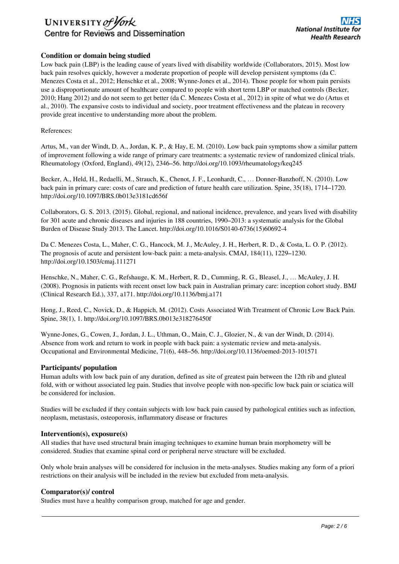# UNIVERSITY of York Centre for Reviews and Dissemination

## **Condition or domain being studied**

Low back pain (LBP) is the leading cause of years lived with disability worldwide (Collaborators, 2015). Most low back pain resolves quickly, however a moderate proportion of people will develop persistent symptoms (da C. Menezes Costa et al., 2012; Henschke et al., 2008; Wynne-Jones et al., 2014). Those people for whom pain persists use a disproportionate amount of healthcare compared to people with short term LBP or matched controls (Becker, 2010; Hang 2012) and do not seem to get better (da C. Menezes Costa et al., 2012) in spite of what we do (Artus et al., 2010). The expansive costs to individual and society, poor treatment effectiveness and the plateau in recovery provide great incentive to understanding more about the problem.

References:

Artus, M., van der Windt, D. A., Jordan, K. P., & Hay, E. M. (2010). Low back pain symptoms show a similar pattern of improvement following a wide range of primary care treatments: a systematic review of randomized clinical trials. Rheumatology (Oxford, England), 49(12), 2346–56. http://doi.org/10.1093/rheumatology/keq245

Becker, A., Held, H., Redaelli, M., Strauch, K., Chenot, J. F., Leonhardt, C., … Donner-Banzhoff, N. (2010). Low back pain in primary care: costs of care and prediction of future health care utilization. Spine, 35(18), 1714–1720. http://doi.org/10.1097/BRS.0b013e3181cd656f

Collaborators, G. S. 2013. (2015). Global, regional, and national incidence, prevalence, and years lived with disability for 301 acute and chronic diseases and injuries in 188 countries, 1990–2013: a systematic analysis for the Global Burden of Disease Study 2013. The Lancet. http://doi.org/10.1016/S0140-6736(15)60692-4

Da C. Menezes Costa, L., Maher, C. G., Hancock, M. J., McAuley, J. H., Herbert, R. D., & Costa, L. O. P. (2012). The prognosis of acute and persistent low-back pain: a meta-analysis. CMAJ, 184(11), 1229–1230. http://doi.org/10.1503/cmaj.111271

Henschke, N., Maher, C. G., Refshauge, K. M., Herbert, R. D., Cumming, R. G., Bleasel, J., … McAuley, J. H. (2008). Prognosis in patients with recent onset low back pain in Australian primary care: inception cohort study. BMJ (Clinical Research Ed.), 337, a171. http://doi.org/10.1136/bmj.a171

Hong, J., Reed, C., Novick, D., & Happich, M. (2012). Costs Associated With Treatment of Chronic Low Back Pain. Spine, 38(1), 1. http://doi.org/10.1097/BRS.0b013e318276450f

Wynne-Jones, G., Cowen, J., Jordan, J. L., Uthman, O., Main, C. J., Glozier, N., & van der Windt, D. (2014). Absence from work and return to work in people with back pain: a systematic review and meta-analysis. Occupational and Environmental Medicine, 71(6), 448–56. http://doi.org/10.1136/oemed-2013-101571

## **Participants/ population**

Human adults with low back pain of any duration, defined as site of greatest pain between the 12th rib and gluteal fold, with or without associated leg pain. Studies that involve people with non-specific low back pain or sciatica will be considered for inclusion.

Studies will be excluded if they contain subjects with low back pain caused by pathological entities such as infection, neoplasm, metastasis, osteoporosis, inflammatory disease or fractures

#### **Intervention(s), exposure(s)**

All studies that have used structural brain imaging techniques to examine human brain morphometry will be considered. Studies that examine spinal cord or peripheral nerve structure will be excluded.

Only whole brain analyses will be considered for inclusion in the meta-analyses. Studies making any form of a priori restrictions on their analysis will be included in the review but excluded from meta-analysis.

## **Comparator(s)/ control**

Studies must have a healthy comparison group, matched for age and gender.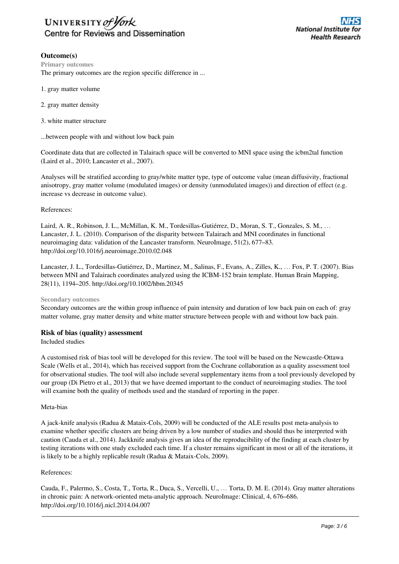

## **Outcome(s)**

**Primary outcomes** The primary outcomes are the region specific difference in ...

- 1. gray matter volume
- 2. gray matter density
- 3. white matter structure

...between people with and without low back pain

Coordinate data that are collected in Talairach space will be converted to MNI space using the icbm2tal function (Laird et al., 2010; Lancaster et al., 2007).

Analyses will be stratified according to gray/white matter type, type of outcome value (mean diffusivity, fractional anisotropy, gray matter volume (modulated images) or density (unmodulated images)) and direction of effect (e.g. increase vs decrease in outcome value).

#### References:

Laird, A. R., Robinson, J. L., McMillan, K. M., Tordesillas-Gutiérrez, D., Moran, S. T., Gonzales, S. M., … Lancaster, J. L. (2010). Comparison of the disparity between Talairach and MNI coordinates in functional neuroimaging data: validation of the Lancaster transform. NeuroImage, 51(2), 677–83. http://doi.org/10.1016/j.neuroimage.2010.02.048

Lancaster, J. L., Tordesillas-Gutiérrez, D., Martinez, M., Salinas, F., Evans, A., Zilles, K., … Fox, P. T. (2007). Bias between MNI and Talairach coordinates analyzed using the ICBM-152 brain template. Human Brain Mapping, 28(11), 1194–205. http://doi.org/10.1002/hbm.20345

**Secondary outcomes**

Secondary outcomes are the within group influence of pain intensity and duration of low back pain on each of: gray matter volume, gray matter density and white matter structure between people with and without low back pain.

#### **Risk of bias (quality) assessment**

#### Included studies

A customised risk of bias tool will be developed for this review. The tool will be based on the Newcastle-Ottawa Scale (Wells et al., 2014), which has received support from the Cochrane collaboration as a quality assessment tool for observational studies. The tool will also include several supplementary items from a tool previously developed by our group (Di Pietro et al., 2013) that we have deemed important to the conduct of neuroimaging studies. The tool will examine both the quality of methods used and the standard of reporting in the paper.

#### Meta-bias

A jack-knife analysis (Radua & Mataix-Cols, 2009) will be conducted of the ALE results post meta-analysis to examine whether specific clusters are being driven by a low number of studies and should thus be interpreted with caution (Cauda et al., 2014). Jackknife analysis gives an idea of the reproducibility of the finding at each cluster by testing iterations with one study excluded each time. If a cluster remains significant in most or all of the iterations, it is likely to be a highly replicable result (Radua & Mataix-Cols, 2009).

#### References:

Cauda, F., Palermo, S., Costa, T., Torta, R., Duca, S., Vercelli, U., … Torta, D. M. E. (2014). Gray matter alterations in chronic pain: A network-oriented meta-analytic approach. NeuroImage: Clinical, 4, 676–686. http://doi.org/10.1016/j.nicl.2014.04.007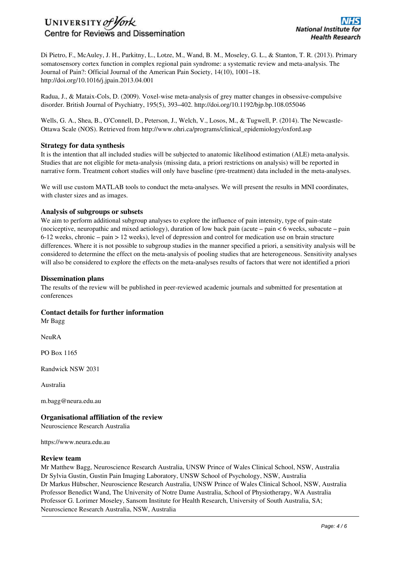# UNIVERSITY of York Centre for Reviews and Dissemination

Di Pietro, F., McAuley, J. H., Parkitny, L., Lotze, M., Wand, B. M., Moseley, G. L., & Stanton, T. R. (2013). Primary somatosensory cortex function in complex regional pain syndrome: a systematic review and meta-analysis. The Journal of Pain?: Official Journal of the American Pain Society, 14(10), 1001–18. http://doi.org/10.1016/j.jpain.2013.04.001

Radua, J., & Mataix-Cols, D. (2009). Voxel-wise meta-analysis of grey matter changes in obsessive-compulsive disorder. British Journal of Psychiatry, 195(5), 393–402. http://doi.org/10.1192/bjp.bp.108.055046

Wells, G. A., Shea, B., O'Connell, D., Peterson, J., Welch, V., Losos, M., & Tugwell, P. (2014). The Newcastle-Ottawa Scale (NOS). Retrieved from http://www.ohri.ca/programs/clinical\_epidemiology/oxford.asp

## **Strategy for data synthesis**

It is the intention that all included studies will be subjected to anatomic likelihood estimation (ALE) meta-analysis. Studies that are not eligible for meta-analysis (missing data, a priori restrictions on analysis) will be reported in narrative form. Treatment cohort studies will only have baseline (pre-treatment) data included in the meta-analyses.

We will use custom MATLAB tools to conduct the meta-analyses. We will present the results in MNI coordinates, with cluster sizes and as images.

## **Analysis of subgroups or subsets**

We aim to perform additional subgroup analyses to explore the influence of pain intensity, type of pain-state (nociceptive, neuropathic and mixed aetiology), duration of low back pain (acute – pain < 6 weeks, subacute – pain 6-12 weeks, chronic – pain > 12 weeks), level of depression and control for medication use on brain structure differences. Where it is not possible to subgroup studies in the manner specified a priori, a sensitivity analysis will be considered to determine the effect on the meta-analysis of pooling studies that are heterogeneous. Sensitivity analyses will also be considered to explore the effects on the meta-analyses results of factors that were not identified a priori

### **Dissemination plans**

The results of the review will be published in peer-reviewed academic journals and submitted for presentation at conferences

## **Contact details for further information**

Mr Bagg

NeuRA

PO Box 1165

Randwick NSW 2031

Australia

m.bagg@neura.edu.au

## **Organisational affiliation of the review**

Neuroscience Research Australia

https://www.neura.edu.au

#### **Review team**

Mr Matthew Bagg, Neuroscience Research Australia, UNSW Prince of Wales Clinical School, NSW, Australia Dr Sylvia Gustin, Gustin Pain Imaging Laboratory, UNSW School of Psychology, NSW, Australia Dr Markus Hübscher, Neuroscience Research Australia, UNSW Prince of Wales Clinical School, NSW, Australia Professor Benedict Wand, The University of Notre Dame Australia, School of Physiotherapy, WA Australia Professor G. Lorimer Moseley, Sansom Institute for Health Research, University of South Australia, SA; Neuroscience Research Australia, NSW, Australia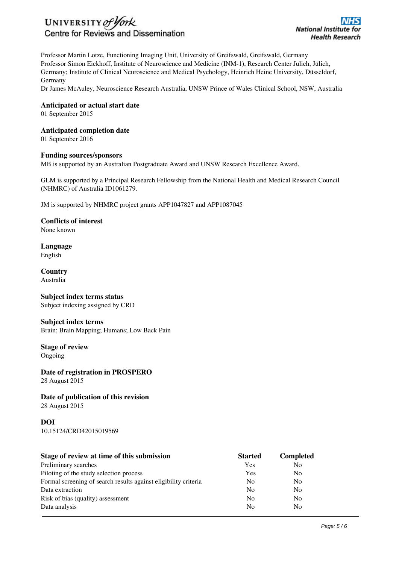

Professor Martin Lotze, Functioning Imaging Unit, University of Greifswald, Greifswald, Germany Professor Simon Eickhoff, Institute of Neuroscience and Medicine (INM-1), Research Center Jülich, Jülich, Germany; Institute of Clinical Neuroscience and Medical Psychology, Heinrich Heine University, Düsseldorf, Germany

Dr James McAuley, Neuroscience Research Australia, UNSW Prince of Wales Clinical School, NSW, Australia

**Anticipated or actual start date**

01 September 2015

**Anticipated completion date**

01 September 2016

#### **Funding sources/sponsors**

MB is supported by an Australian Postgraduate Award and UNSW Research Excellence Award.

GLM is supported by a Principal Research Fellowship from the National Health and Medical Research Council (NHMRC) of Australia ID1061279.

JM is supported by NHMRC project grants APP1047827 and APP1087045

**Conflicts of interest** None known

**Language** English

**Country** Australia

### **Subject index terms status** Subject indexing assigned by CRD

**Subject index terms** Brain; Brain Mapping; Humans; Low Back Pain

**Stage of review** Ongoing

**Date of registration in PROSPERO** 28 August 2015

## **Date of publication of this revision**

28 August 2015

# **DOI**

10.15124/CRD42015019569

| Stage of review at time of this submission                      | <b>Started</b> | <b>Completed</b> |
|-----------------------------------------------------------------|----------------|------------------|
| Preliminary searches                                            | Yes            | N <sub>0</sub>   |
| Piloting of the study selection process                         | Yes            | N <sub>0</sub>   |
| Formal screening of search results against eligibility criteria | N <sub>0</sub> | N <sub>0</sub>   |
| Data extraction                                                 | N <sub>0</sub> | N <sub>0</sub>   |
| Risk of bias (quality) assessment                               | N <sub>0</sub> | N <sub>0</sub>   |
| Data analysis                                                   | N <sub>0</sub> | N <sub>o</sub>   |